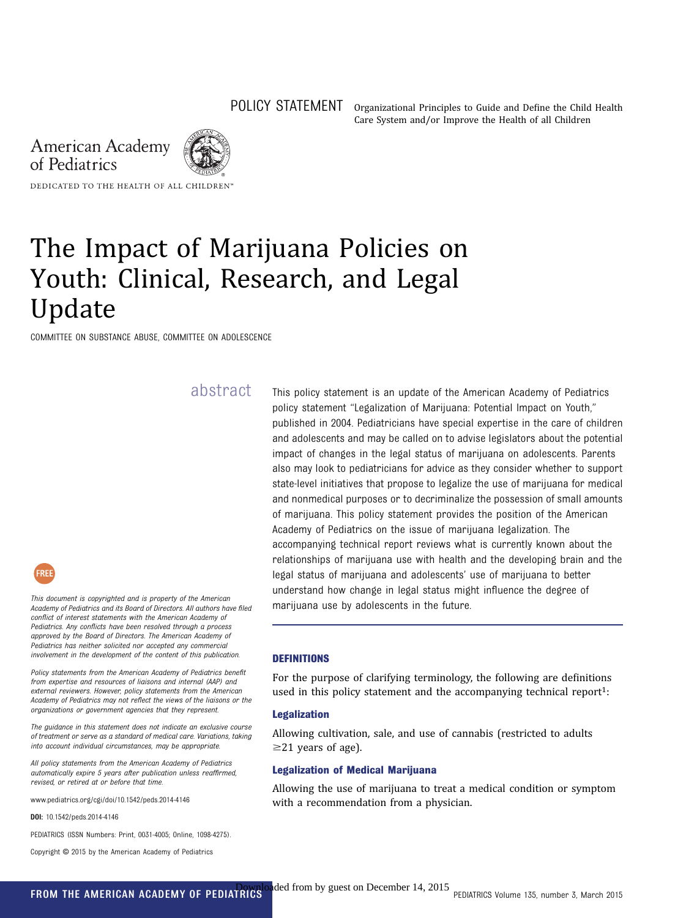POLICY STATEMENT Organizational Principles to Guide and Define the Child Health Care System and/or Improve the Health of all Children





DEDICATED TO THE HEALTH OF ALL CHILDREN"

# The Impact of Marijuana Policies on Youth: Clinical, Research, and Legal Update

COMMITTEE ON SUBSTANCE ABUSE, COMMITTEE ON ADOLESCENCE

abstract This policy statement is an update of the American Academy of Pediatrics policy statement "Legalization of Marijuana: Potential Impact on Youth," published in 2004. Pediatricians have special expertise in the care of children and adolescents and may be called on to advise legislators about the potential impact of changes in the legal status of marijuana on adolescents. Parents also may look to pediatricians for advice as they consider whether to support state-level initiatives that propose to legalize the use of marijuana for medical and nonmedical purposes or to decriminalize the possession of small amounts of marijuana. This policy statement provides the position of the American Academy of Pediatrics on the issue of marijuana legalization. The accompanying technical report reviews what is currently known about the relationships of marijuana use with health and the developing brain and the legal status of marijuana and adolescents' use of marijuana to better understand how change in legal status might influence the degree of marijuana use by adolescents in the future.

## FREE

This document is copyrighted and is property of the American Academy of Pediatrics and its Board of Directors. All authors have filed conflict of interest statements with the American Academy of Pediatrics. Any conflicts have been resolved through a process approved by the Board of Directors. The American Academy of Pediatrics has neither solicited nor accepted any commercial involvement in the development of the content of this publication.

Policy statements from the American Academy of Pediatrics benefit from expertise and resources of liaisons and internal (AAP) and external reviewers. However, policy statements from the American Academy of Pediatrics may not reflect the views of the liaisons or the organizations or government agencies that they represent.

The guidance in this statement does not indicate an exclusive course of treatment or serve as a standard of medical care. Variations, taking into account individual circumstances, may be appropriate.

All policy statements from the American Academy of Pediatrics automatically expire 5 years after publication unless reaffirmed, revised, or retired at or before that time.

www.pediatrics.org/cgi/doi/10.1542/peds.2014-4146

DOI: 10.1542/peds.2014-4146

PEDIATRICS (ISSN Numbers: Print, 0031-4005; Online, 1098-4275).

Copyright © 2015 by the American Academy of Pediatrics

#### **DEFINITIONS**

For the purpose of clarifying terminology, the following are definitions used in this policy statement and the accompanying technical report<sup>1</sup>:

#### Legalization

Allowing cultivation, sale, and use of cannabis (restricted to adults  $\geq$ 21 years of age).

#### Legalization of Medical Marijuana

Allowing the use of marijuana to treat a medical condition or symptom with a recommendation from a physician.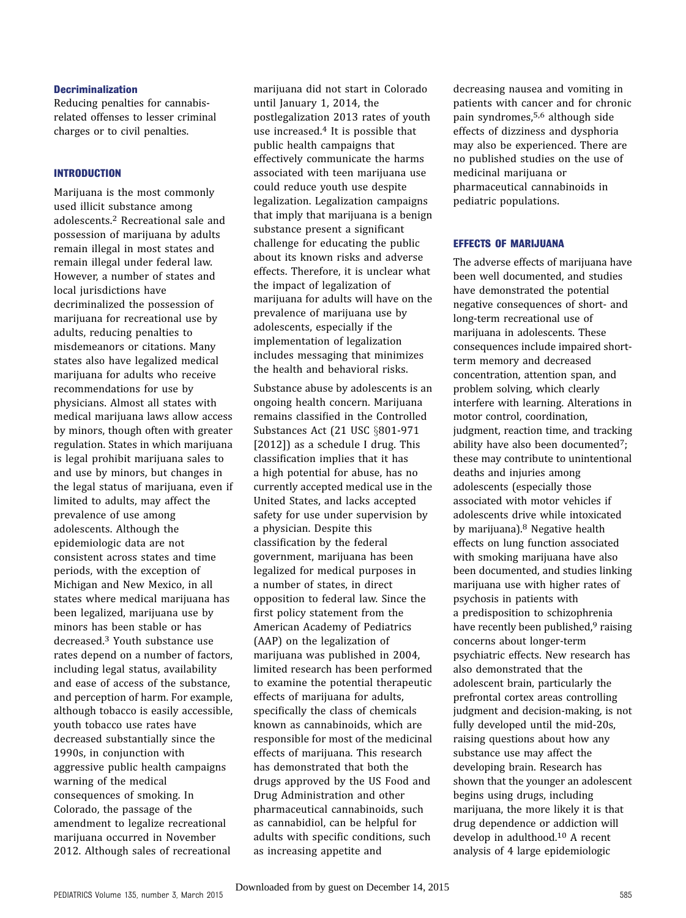#### **Decriminalization**

Reducing penalties for cannabisrelated offenses to lesser criminal charges or to civil penalties.

#### INTRODUCTION

Marijuana is the most commonly used illicit substance among adolescents.2 Recreational sale and possession of marijuana by adults remain illegal in most states and remain illegal under federal law. However, a number of states and local jurisdictions have decriminalized the possession of marijuana for recreational use by adults, reducing penalties to misdemeanors or citations. Many states also have legalized medical marijuana for adults who receive recommendations for use by physicians. Almost all states with medical marijuana laws allow access by minors, though often with greater regulation. States in which marijuana is legal prohibit marijuana sales to and use by minors, but changes in the legal status of marijuana, even if limited to adults, may affect the prevalence of use among adolescents. Although the epidemiologic data are not consistent across states and time periods, with the exception of Michigan and New Mexico, in all states where medical marijuana has been legalized, marijuana use by minors has been stable or has decreased.3 Youth substance use rates depend on a number of factors, including legal status, availability and ease of access of the substance, and perception of harm. For example, although tobacco is easily accessible, youth tobacco use rates have decreased substantially since the 1990s, in conjunction with aggressive public health campaigns warning of the medical consequences of smoking. In Colorado, the passage of the amendment to legalize recreational marijuana occurred in November 2012. Although sales of recreational

marijuana did not start in Colorado until January 1, 2014, the postlegalization 2013 rates of youth use increased. $4$  It is possible that public health campaigns that effectively communicate the harms associated with teen marijuana use could reduce youth use despite legalization. Legalization campaigns that imply that marijuana is a benign substance present a significant challenge for educating the public about its known risks and adverse effects. Therefore, it is unclear what the impact of legalization of marijuana for adults will have on the prevalence of marijuana use by adolescents, especially if the implementation of legalization includes messaging that minimizes the health and behavioral risks.

Substance abuse by adolescents is an ongoing health concern. Marijuana remains classified in the Controlled Substances Act (21 USC  $\S 801 - 971$ [2012]) as a schedule I drug. This classification implies that it has a high potential for abuse, has no currently accepted medical use in the United States, and lacks accepted safety for use under supervision by a physician. Despite this classification by the federal government, marijuana has been legalized for medical purposes in a number of states, in direct opposition to federal law. Since the first policy statement from the American Academy of Pediatrics (AAP) on the legalization of marijuana was published in 2004. limited research has been performed to examine the potential therapeutic effects of marijuana for adults, specifically the class of chemicals known as cannabinoids, which are responsible for most of the medicinal effects of marijuana. This research has demonstrated that both the drugs approved by the US Food and Drug Administration and other pharmaceutical cannabinoids, such as cannabidiol, can be helpful for adults with specific conditions, such as increasing appetite and

decreasing nausea and vomiting in patients with cancer and for chronic pain syndromes,5,6 although side effects of dizziness and dysphoria may also be experienced. There are no published studies on the use of medicinal marijuana or pharmaceutical cannabinoids in pediatric populations.

#### EFFECTS OF MARIJUANA

The adverse effects of marijuana have been well documented, and studies have demonstrated the potential negative consequences of short- and long-term recreational use of marijuana in adolescents. These consequences include impaired shortterm memory and decreased concentration, attention span, and problem solving, which clearly interfere with learning. Alterations in motor control, coordination, judgment, reaction time, and tracking ability have also been documented7; these may contribute to unintentional deaths and injuries among adolescents (especially those associated with motor vehicles if adolescents drive while intoxicated by marijuana).8 Negative health effects on lung function associated with smoking marijuana have also been documented, and studies linking marijuana use with higher rates of psychosis in patients with a predisposition to schizophrenia have recently been published,<sup>9</sup> raising concerns about longer-term psychiatric effects. New research has also demonstrated that the adolescent brain, particularly the prefrontal cortex areas controlling judgment and decision-making, is not fully developed until the mid-20s, raising questions about how any substance use may affect the developing brain. Research has shown that the younger an adolescent begins using drugs, including marijuana, the more likely it is that drug dependence or addiction will develop in adulthood.10 A recent analysis of 4 large epidemiologic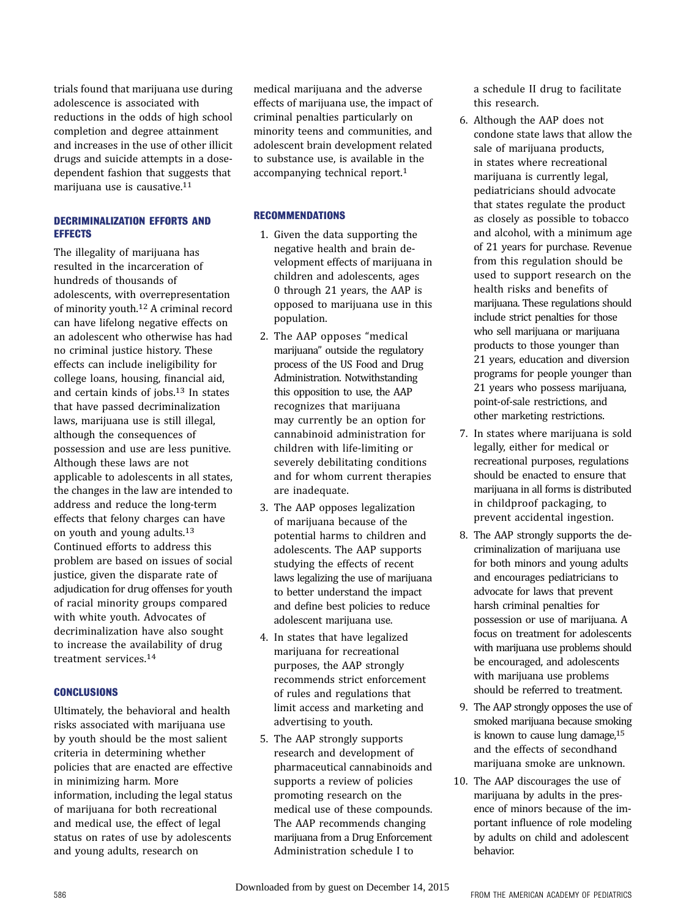trials found that marijuana use during adolescence is associated with reductions in the odds of high school completion and degree attainment and increases in the use of other illicit drugs and suicide attempts in a dosedependent fashion that suggests that marijuana use is causative.11

#### DECRIMINALIZATION EFFORTS AND EFFECTS

The illegality of marijuana has resulted in the incarceration of hundreds of thousands of adolescents, with overrepresentation of minority youth.12 A criminal record can have lifelong negative effects on an adolescent who otherwise has had no criminal justice history. These effects can include ineligibility for college loans, housing, financial aid, and certain kinds of jobs.13 In states that have passed decriminalization laws, marijuana use is still illegal, although the consequences of possession and use are less punitive. Although these laws are not applicable to adolescents in all states, the changes in the law are intended to address and reduce the long-term effects that felony charges can have on youth and young adults.13 Continued efforts to address this problem are based on issues of social justice, given the disparate rate of adjudication for drug offenses for youth of racial minority groups compared with white youth. Advocates of decriminalization have also sought to increase the availability of drug treatment services.14

#### **CONCLUSIONS**

Ultimately, the behavioral and health risks associated with marijuana use by youth should be the most salient criteria in determining whether policies that are enacted are effective in minimizing harm. More information, including the legal status of marijuana for both recreational and medical use, the effect of legal status on rates of use by adolescents and young adults, research on

medical marijuana and the adverse effects of marijuana use, the impact of criminal penalties particularly on minority teens and communities, and adolescent brain development related to substance use, is available in the accompanying technical report.1

#### RECOMMENDATIONS

- 1. Given the data supporting the negative health and brain development effects of marijuana in children and adolescents, ages 0 through 21 years, the AAP is opposed to marijuana use in this population.
- 2. The AAP opposes "medical marijuana" outside the regulatory process of the US Food and Drug Administration. Notwithstanding this opposition to use, the AAP recognizes that marijuana may currently be an option for cannabinoid administration for children with life-limiting or severely debilitating conditions and for whom current therapies are inadequate.
- 3. The AAP opposes legalization of marijuana because of the potential harms to children and adolescents. The AAP supports studying the effects of recent laws legalizing the use of marijuana to better understand the impact and define best policies to reduce adolescent marijuana use.
- 4. In states that have legalized marijuana for recreational purposes, the AAP strongly recommends strict enforcement of rules and regulations that limit access and marketing and advertising to youth.
- 5. The AAP strongly supports research and development of pharmaceutical cannabinoids and supports a review of policies promoting research on the medical use of these compounds. The AAP recommends changing marijuana from a Drug Enforcement Administration schedule I to

a schedule II drug to facilitate this research.

- 6. Although the AAP does not condone state laws that allow the sale of marijuana products, in states where recreational marijuana is currently legal, pediatricians should advocate that states regulate the product as closely as possible to tobacco and alcohol, with a minimum age of 21 years for purchase. Revenue from this regulation should be used to support research on the health risks and benefits of marijuana. These regulations should include strict penalties for those who sell marijuana or marijuana products to those younger than 21 years, education and diversion programs for people younger than 21 years who possess marijuana, point-of-sale restrictions, and other marketing restrictions.
- 7. In states where marijuana is sold legally, either for medical or recreational purposes, regulations should be enacted to ensure that marijuana in all forms is distributed in childproof packaging, to prevent accidental ingestion.
- 8. The AAP strongly supports the decriminalization of marijuana use for both minors and young adults and encourages pediatricians to advocate for laws that prevent harsh criminal penalties for possession or use of marijuana. A focus on treatment for adolescents with marijuana use problems should be encouraged, and adolescents with marijuana use problems should be referred to treatment.
- 9. The AAP strongly opposes the use of smoked marijuana because smoking is known to cause lung damage,15 and the effects of secondhand marijuana smoke are unknown.
- 10. The AAP discourages the use of marijuana by adults in the presence of minors because of the important influence of role modeling by adults on child and adolescent behavior.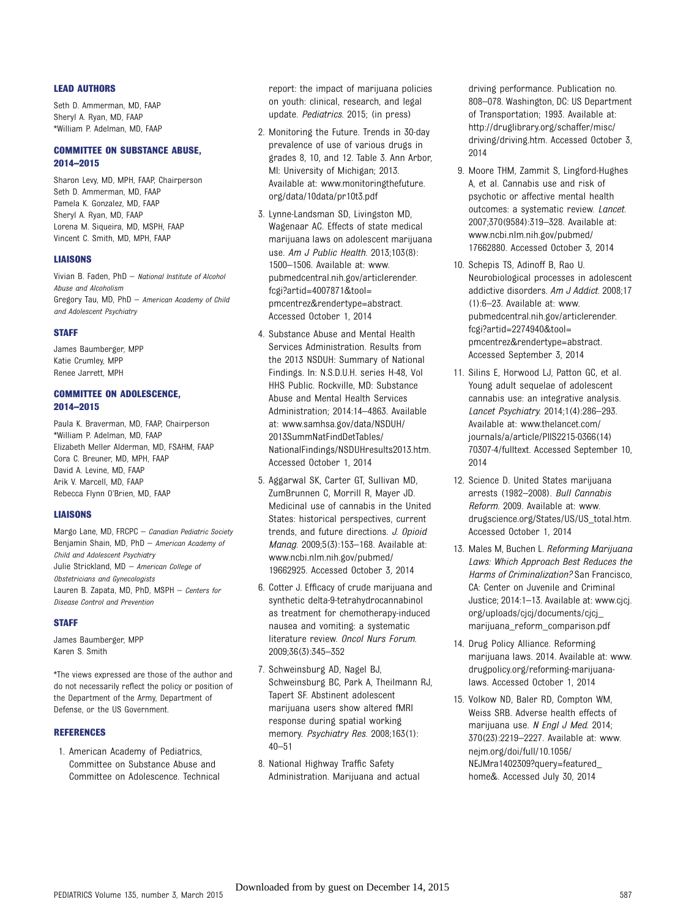#### LEAD AUTHORS

Seth D. Ammerman, MD, FAAP Sheryl A. Ryan, MD, FAAP \*William P. Adelman, MD, FAAP

#### COMMITTEE ON SUBSTANCE ABUSE, 2014–2015

Sharon Levy, MD, MPH, FAAP, Chairperson Seth D. Ammerman, MD, FAAP Pamela K. Gonzalez, MD, FAAP Sheryl A. Ryan, MD, FAAP Lorena M. Siqueira, MD, MSPH, FAAP Vincent C. Smith, MD, MPH, FAAP

#### LIAISONS

Vivian B. Faden, PhD – National Institute of Alcohol Abuse and Alcoholism Gregory Tau, MD, PhD – American Academy of Child and Adolescent Psychiatry

#### STAFF

James Baumberger, MPP Katie Crumley, MPP Renee Jarrett, MPH

#### COMMITTEE ON ADOLESCENCE, 2014–2015

Paula K. Braverman, MD, FAAP, Chairperson \*William P. Adelman, MD, FAAP Elizabeth Meller Alderman, MD, FSAHM, FAAP Cora C. Breuner, MD, MPH, FAAP David A. Levine, MD, FAAP Arik V. Marcell, MD, FAAP Rebecca Flynn O'Brien, MD, FAAP

#### **LIAISONS**

Margo Lane, MD, FRCPC - Canadian Pediatric Society Benjamin Shain, MD, PhD – American Academy of Child and Adolescent Psychiatry Julie Strickland, MD – American College of Obstetricians and Gynecologists Lauren B. Zapata, MD, PhD, MSPH – Centers for Disease Control and Prevention

#### **STAFF**

James Baumberger, MPP Karen S. Smith

\*The views expressed are those of the author and do not necessarily reflect the policy or position of the Department of the Army, Department of Defense, or the US Government.

#### REFERENCES

1. American Academy of Pediatrics, Committee on Substance Abuse and Committee on Adolescence. Technical report: the impact of marijuana policies on youth: clinical, research, and legal update. Pediatrics. 2015; (in press)

- 2. Monitoring the Future. Trends in 30-day prevalence of use of various drugs in grades 8, 10, and 12. Table 3. Ann Arbor, MI: University of Michigan; 2013. Available at: [www.monitoringthefuture.](http://www.monitoringthefuture.org/data/10data/pr10t3.pdf) [org/data/10data/pr10t3.pdf](http://www.monitoringthefuture.org/data/10data/pr10t3.pdf)
- 3. Lynne-Landsman SD, Livingston MD, Wagenaar AC. Effects of state medical marijuana laws on adolescent marijuana use. Am J Public Health. 2013;103(8): 1500–1506. Available at: [www.](http://www.pubmedcentral.nih.gov/articlerender.fcgi?artid=4007871&tool=pmcentrez&rendertype=abstract) [pubmedcentral.nih.gov/articlerender.](http://www.pubmedcentral.nih.gov/articlerender.fcgi?artid=4007871&tool=pmcentrez&rendertype=abstract) [fcgi?artid=4007871&tool=](http://www.pubmedcentral.nih.gov/articlerender.fcgi?artid=4007871&tool=pmcentrez&rendertype=abstract) [pmcentrez&rendertype=abstract.](http://www.pubmedcentral.nih.gov/articlerender.fcgi?artid=4007871&tool=pmcentrez&rendertype=abstract) Accessed October 1, 2014
- 4. Substance Abuse and Mental Health Services Administration. Results from the 2013 NSDUH: Summary of National Findings. In: N.S.D.U.H. series H-48, Vol HHS Public. Rockville, MD: Substance Abuse and Mental Health Services Administration; 2014:14–4863. Available at: [www.samhsa.gov/data/NSDUH/](http://www.samhsa.gov/data/NSDUH/2013SummNatFindDetTables/NationalFindings/NSDUHresults2013.htm) [2013SummNatFindDetTables/](http://www.samhsa.gov/data/NSDUH/2013SummNatFindDetTables/NationalFindings/NSDUHresults2013.htm) [NationalFindings/NSDUHresults2013.htm.](http://www.samhsa.gov/data/NSDUH/2013SummNatFindDetTables/NationalFindings/NSDUHresults2013.htm) Accessed October 1, 2014
- 5. Aggarwal SK, Carter GT, Sullivan MD, ZumBrunnen C, Morrill R, Mayer JD. Medicinal use of cannabis in the United States: historical perspectives, current trends, and future directions. J. Opioid Manag. 2009;5(3):153–168. Available at: [www.ncbi.nlm.nih.gov/pubmed/](http://www.ncbi.nlm.nih.gov/pubmed/19662925) [19662925.](http://www.ncbi.nlm.nih.gov/pubmed/19662925) Accessed October 3, 2014
- 6. Cotter J. Efficacy of crude marijuana and synthetic delta-9-tetrahydrocannabinol as treatment for chemotherapy-induced nausea and vomiting: a systematic literature review. Oncol Nurs Forum. 2009;36(3):345–352
- 7. Schweinsburg AD, Nagel BJ, Schweinsburg BC, Park A, Theilmann RJ, Tapert SF. Abstinent adolescent marijuana users show altered fMRI response during spatial working memory. Psychiatry Res. 2008;163(1): 40–51
- 8. National Highway Traffic Safety Administration. Marijuana and actual

driving performance. Publication no. 808–078. Washington, DC: US Department of Transportation; 1993. Available at: [http://druglibrary.org/schaffer/misc/](http://druglibrary.org/schaffer/misc/driving/driving.htm) [driving/driving.htm](http://druglibrary.org/schaffer/misc/driving/driving.htm). Accessed October 3, 2014

- 9. Moore THM, Zammit S, Lingford-Hughes A, et al. Cannabis use and risk of psychotic or affective mental health outcomes: a systematic review. Lancet. 2007;370(9584):319–328. Available at: [www.ncbi.nlm.nih.gov/pubmed/](http://www.ncbi.nlm.nih.gov/pubmed/17662880) [17662880.](http://www.ncbi.nlm.nih.gov/pubmed/17662880) Accessed October 3, 2014
- 10. Schepis TS, Adinoff B, Rao U. Neurobiological processes in adolescent addictive disorders. Am J Addict. 2008;17 (1):6–23. Available at: [www.](http://www.pubmedcentral.nih.gov/articlerender.fcgi?artid=2274940&tool=pmcentrez&rendertype=abstract) [pubmedcentral.nih.gov/articlerender.](http://www.pubmedcentral.nih.gov/articlerender.fcgi?artid=2274940&tool=pmcentrez&rendertype=abstract) [fcgi?artid=2274940&tool=](http://www.pubmedcentral.nih.gov/articlerender.fcgi?artid=2274940&tool=pmcentrez&rendertype=abstract) [pmcentrez&rendertype=abstract](http://www.pubmedcentral.nih.gov/articlerender.fcgi?artid=2274940&tool=pmcentrez&rendertype=abstract). Accessed September 3, 2014
- 11. Silins E, Horwood LJ, Patton GC, et al. Young adult sequelae of adolescent cannabis use: an integrative analysis. Lancet Psychiatry. 2014;1(4):286–293. Available at: [www.thelancet.com/](http://www.thelancet.com/journals/a/article/PIIS2215-0366(14)70307-4/fulltext) [journals/a/article/PIIS2215-0366\(14\)](http://www.thelancet.com/journals/a/article/PIIS2215-0366(14)70307-4/fulltext) [70307-4/fulltext](http://www.thelancet.com/journals/a/article/PIIS2215-0366(14)70307-4/fulltext). Accessed September 10, 2014
- 12. Science D. United States marijuana arrests (1982–2008). Bull Cannabis Reform. 2009. Available at: [www.](http://www.drugscience.org/States/US/US_total.htm) [drugscience.org/States/US/US\\_total.htm.](http://www.drugscience.org/States/US/US_total.htm) Accessed October 1, 2014
- 13. Males M, Buchen L. Reforming Marijuana Laws: Which Approach Best Reduces the Harms of Criminalization? San Francisco, CA: Center on Juvenile and Criminal Justice; 2014:1–13. Available at: [www.cjcj.](http://www.cjcj.org/uploads/cjcj/documents/cjcj_marijuana_reform_comparison.pdf) [org/uploads/cjcj/documents/cjcj\\_](http://www.cjcj.org/uploads/cjcj/documents/cjcj_marijuana_reform_comparison.pdf) [marijuana\\_reform\\_comparison.pdf](http://www.cjcj.org/uploads/cjcj/documents/cjcj_marijuana_reform_comparison.pdf)
- 14. Drug Policy Alliance. Reforming marijuana laws. 2014. Available at: [www.](http://www.drugpolicy.org/reforming-marijuana-laws) [drugpolicy.org/reforming-marijuana](http://www.drugpolicy.org/reforming-marijuana-laws)[laws](http://www.drugpolicy.org/reforming-marijuana-laws). Accessed October 1, 2014
- 15. Volkow ND, Baler RD, Compton WM, Weiss SRB. Adverse health effects of marijuana use. N Engl J Med. 2014: 370(23):2219–2227. Available at: [www.](http://www.nejm.org/doi/full/10.1056/NEJMra1402309?query=featured_home&) [nejm.org/doi/full/10.1056/](http://www.nejm.org/doi/full/10.1056/NEJMra1402309?query=featured_home&) [NEJMra1402309?query=featured\\_](http://www.nejm.org/doi/full/10.1056/NEJMra1402309?query=featured_home&) [home&.](http://www.nejm.org/doi/full/10.1056/NEJMra1402309?query=featured_home&) Accessed July 30, 2014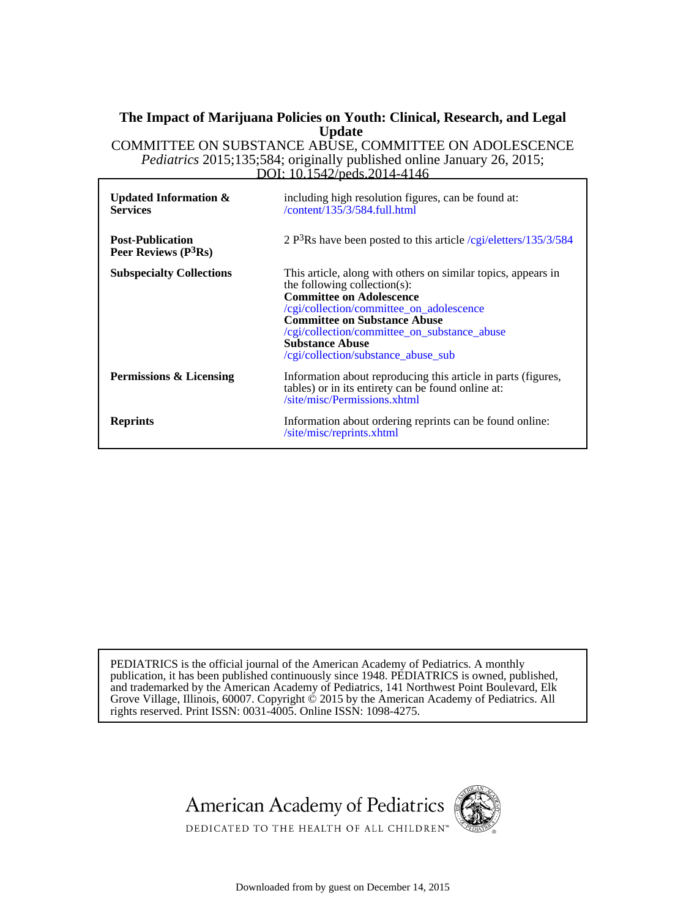### **Update The Impact of Marijuana Policies on Youth: Clinical, Research, and Legal**

DOI: 10.1542/peds.2014-4146 *Pediatrics* 2015;135;584; originally published online January 26, 2015; COMMITTEE ON SUBSTANCE ABUSE, COMMITTEE ON ADOLESCENCE

| Updated Information $\&$<br><b>Services</b>                 | including high resolution figures, can be found at:<br>/content/135/3/584.full.html                                                                                                                                                                                                                                                  |
|-------------------------------------------------------------|--------------------------------------------------------------------------------------------------------------------------------------------------------------------------------------------------------------------------------------------------------------------------------------------------------------------------------------|
| <b>Post-Publication</b><br>Peer Reviews (P <sup>3</sup> Rs) | $2 P3Rs$ have been posted to this article /cgi/eletters/135/3/584                                                                                                                                                                                                                                                                    |
| <b>Subspecialty Collections</b>                             | This article, along with others on similar topics, appears in<br>the following collection(s):<br><b>Committee on Adolescence</b><br>/cgi/collection/committee_on_adolescence<br><b>Committee on Substance Abuse</b><br>/cgi/collection/committee_on_substance_abuse<br><b>Substance Abuse</b><br>/cgi/collection/substance_abuse_sub |
| Permissions & Licensing                                     | Information about reproducing this article in parts (figures,<br>tables) or in its entirety can be found online at:<br>/site/misc/Permissions.xhtml                                                                                                                                                                                  |
| <b>Reprints</b>                                             | Information about ordering reprints can be found online:<br>/site/misc/reprints.xhtml                                                                                                                                                                                                                                                |

rights reserved. Print ISSN: 0031-4005. Online ISSN: 1098-4275. Grove Village, Illinois, 60007. Copyright © 2015 by the American Academy of Pediatrics. All and trademarked by the American Academy of Pediatrics, 141 Northwest Point Boulevard, Elk publication, it has been published continuously since 1948. PEDIATRICS is owned, published, PEDIATRICS is the official journal of the American Academy of Pediatrics. A monthly



Downloaded from by guest on December 14, 2015